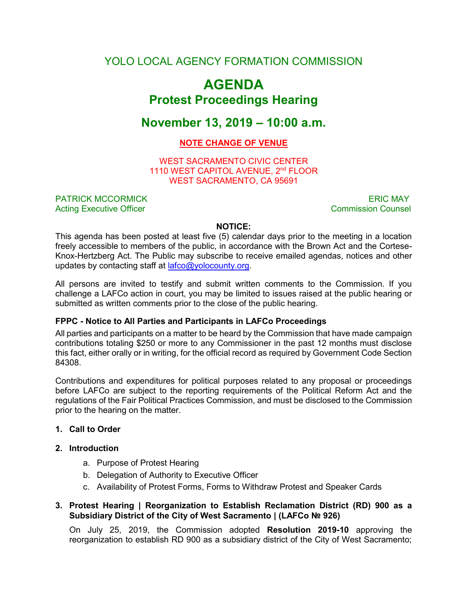### YOLO LOCAL AGENCY FORMATION COMMISSION

# **AGENDA Protest Proceedings Hearing**

## **November 13, 2019 – 10:00 a.m.**

### **NOTE CHANGE OF VENUE**

WEST SACRAMENTO CIVIC CENTER 1110 WEST CAPITOL AVENUE, 2<sup>nd</sup> FLOOR WEST SACRAMENTO, CA 95691

PATRICK MCCORMICK **ERIC MAY** Acting Executive Officer Commission Counsel and Commission Counsel

#### **NOTICE:**

This agenda has been posted at least five (5) calendar days prior to the meeting in a location freely accessible to members of the public, in accordance with the Brown Act and the Cortese-Knox-Hertzberg Act. The Public may subscribe to receive emailed agendas, notices and other updates by contacting staff at [lafco@yolocounty.org.](mailto:lafco@yolocounty.org)

All persons are invited to testify and submit written comments to the Commission. If you challenge a LAFCo action in court, you may be limited to issues raised at the public hearing or submitted as written comments prior to the close of the public hearing.

#### **FPPC - Notice to All Parties and Participants in LAFCo Proceedings**

All parties and participants on a matter to be heard by the Commission that have made campaign contributions totaling \$250 or more to any Commissioner in the past 12 months must disclose this fact, either orally or in writing, for the official record as required by Government Code Section 84308.

Contributions and expenditures for political purposes related to any proposal or proceedings before LAFCo are subject to the reporting requirements of the Political Reform Act and the regulations of the Fair Political Practices Commission, and must be disclosed to the Commission prior to the hearing on the matter.

#### **1. Call to Order**

#### **2. Introduction**

- a. Purpose of Protest Hearing
- b. Delegation of Authority to Executive Officer
- c. Availability of Protest Forms, Forms to Withdraw Protest and Speaker Cards
- **3. Protest Hearing | Reorganization to Establish Reclamation District (RD) 900 as a Subsidiary District of the City of West Sacramento | (LAFCo № 926)**

On July 25, 2019, the Commission adopted **Resolution 2019-10** approving the reorganization to establish RD 900 as a subsidiary district of the City of West Sacramento;